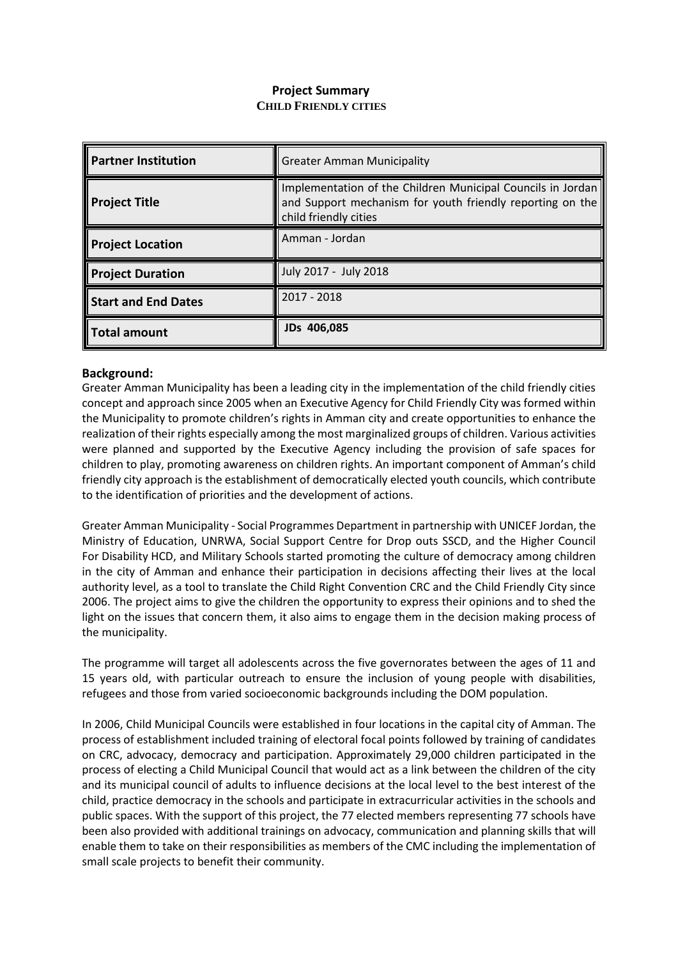# **Project Summary CHILD FRIENDLY CITIES**

| <b>Partner Institution</b> | <b>Greater Amman Municipality</b>                                                                                                                 |
|----------------------------|---------------------------------------------------------------------------------------------------------------------------------------------------|
| <b>Project Title</b>       | Implementation of the Children Municipal Councils in Jordan<br>and Support mechanism for youth friendly reporting on the<br>child friendly cities |
| <b>Project Location</b>    | Amman - Jordan                                                                                                                                    |
| <b>Project Duration</b>    | July 2017 - July 2018                                                                                                                             |
| Start and End Dates        | 2017 - 2018                                                                                                                                       |
| Total amount               | JDs 406,085                                                                                                                                       |

# **Background:**

Greater Amman Municipality has been a leading city in the implementation of the child friendly cities concept and approach since 2005 when an Executive Agency for Child Friendly City was formed within the Municipality to promote children's rights in Amman city and create opportunities to enhance the realization of their rights especially among the most marginalized groups of children. Various activities were planned and supported by the Executive Agency including the provision of safe spaces for children to play, promoting awareness on children rights. An important component of Amman's child friendly city approach is the establishment of democratically elected youth councils, which contribute to the identification of priorities and the development of actions.

Greater Amman Municipality - Social Programmes Department in partnership with UNICEF Jordan, the Ministry of Education, UNRWA, Social Support Centre for Drop outs SSCD, and the Higher Council For Disability HCD, and Military Schools started promoting the culture of democracy among children in the city of Amman and enhance their participation in decisions affecting their lives at the local authority level, as a tool to translate the Child Right Convention CRC and the Child Friendly City since 2006. The project aims to give the children the opportunity to express their opinions and to shed the light on the issues that concern them, it also aims to engage them in the decision making process of the municipality.

The programme will target all adolescents across the five governorates between the ages of 11 and 15 years old, with particular outreach to ensure the inclusion of young people with disabilities, refugees and those from varied socioeconomic backgrounds including the DOM population.

In 2006, Child Municipal Councils were established in four locations in the capital city of Amman. The process of establishment included training of electoral focal points followed by training of candidates on CRC, advocacy, democracy and participation. Approximately 29,000 children participated in the process of electing a Child Municipal Council that would act as a link between the children of the city and its municipal council of adults to influence decisions at the local level to the best interest of the child, practice democracy in the schools and participate in extracurricular activities in the schools and public spaces. With the support of this project, the 77 elected members representing 77 schools have been also provided with additional trainings on advocacy, communication and planning skills that will enable them to take on their responsibilities as members of the CMC including the implementation of small scale projects to benefit their community.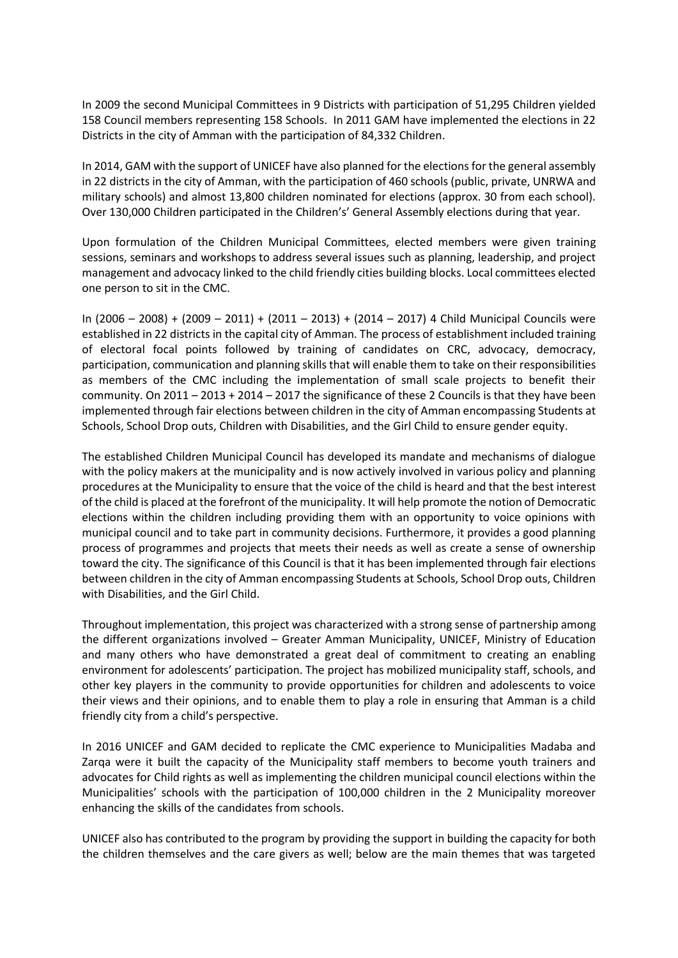In 2009 the second Municipal Committees in 9 Districts with participation of 51,295 Children yielded 158 Council members representing 158 Schools. In 2011 GAM have implemented the elections in 22 Districts in the city of Amman with the participation of 84,332 Children.

In 2014, GAM with the support of UNICEF have also planned for the elections for the general assembly in 22 districts in the city of Amman, with the participation of 460 schools (public, private, UNRWA and military schools) and almost 13,800 children nominated for elections (approx. 30 from each school). Over 130,000 Children participated in the Children's' General Assembly elections during that year.

Upon formulation of the Children Municipal Committees, elected members were given training sessions, seminars and workshops to address several issues such as planning, leadership, and project management and advocacy linked to the child friendly cities building blocks. Local committees elected one person to sit in the CMC.

In (2006 – 2008) + (2009 – 2011) + (2011 – 2013) + (2014 – 2017) 4 Child Municipal Councils were established in 22 districts in the capital city of Amman. The process of establishment included training of electoral focal points followed by training of candidates on CRC, advocacy, democracy, participation, communication and planning skills that will enable them to take on their responsibilities as members of the CMC including the implementation of small scale projects to benefit their community. On 2011 – 2013 + 2014 – 2017 the significance of these 2 Councils is that they have been implemented through fair elections between children in the city of Amman encompassing Students at Schools, School Drop outs, Children with Disabilities, and the Girl Child to ensure gender equity.

The established Children Municipal Council has developed its mandate and mechanisms of dialogue with the policy makers at the municipality and is now actively involved in various policy and planning procedures at the Municipality to ensure that the voice of the child is heard and that the best interest of the child is placed at the forefront of the municipality. It will help promote the notion of Democratic elections within the children including providing them with an opportunity to voice opinions with municipal council and to take part in community decisions. Furthermore, it provides a good planning process of programmes and projects that meets their needs as well as create a sense of ownership toward the city. The significance of this Council is that it has been implemented through fair elections between children in the city of Amman encompassing Students at Schools, School Drop outs, Children with Disabilities, and the Girl Child.

Throughout implementation, this project was characterized with a strong sense of partnership among the different organizations involved – Greater Amman Municipality, UNICEF, Ministry of Education and many others who have demonstrated a great deal of commitment to creating an enabling environment for adolescents' participation. The project has mobilized municipality staff, schools, and other key players in the community to provide opportunities for children and adolescents to voice their views and their opinions, and to enable them to play a role in ensuring that Amman is a child friendly city from a child's perspective.

In 2016 UNICEF and GAM decided to replicate the CMC experience to Municipalities Madaba and Zarqa were it built the capacity of the Municipality staff members to become youth trainers and advocates for Child rights as well as implementing the children municipal council elections within the Municipalities' schools with the participation of 100,000 children in the 2 Municipality moreover enhancing the skills of the candidates from schools.

UNICEF also has contributed to the program by providing the support in building the capacity for both the children themselves and the care givers as well; below are the main themes that was targeted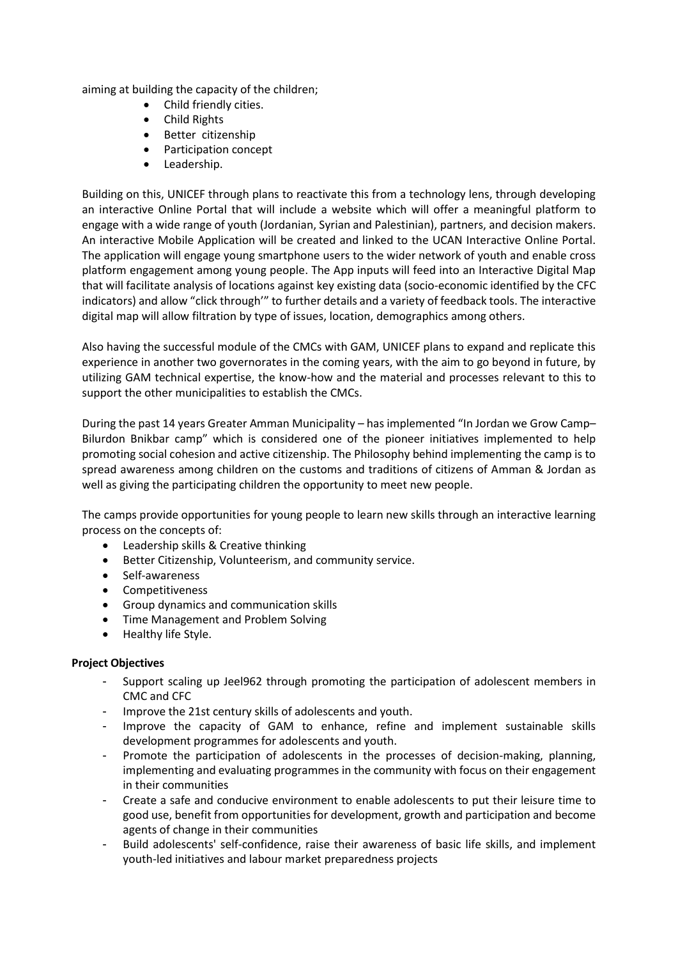aiming at building the capacity of the children;

- Child friendly cities.
- Child Rights
- Better citizenship
- Participation concept
- Leadership.

Building on this, UNICEF through plans to reactivate this from a technology lens, through developing an interactive Online Portal that will include a website which will offer a meaningful platform to engage with a wide range of youth (Jordanian, Syrian and Palestinian), partners, and decision makers. An interactive Mobile Application will be created and linked to the UCAN Interactive Online Portal. The application will engage young smartphone users to the wider network of youth and enable cross platform engagement among young people. The App inputs will feed into an Interactive Digital Map that will facilitate analysis of locations against key existing data (socio-economic identified by the CFC indicators) and allow "click through'" to further details and a variety of feedback tools. The interactive digital [map](http://rio.unicef-gis.org/) will allow filtration by type of issues, location, demographics among others.

Also having the successful module of the CMCs with GAM, UNICEF plans to expand and replicate this experience in another two governorates in the coming years, with the aim to go beyond in future, by utilizing GAM technical expertise, the know-how and the material and processes relevant to this to support the other municipalities to establish the CMCs.

During the past 14 years Greater Amman Municipality – has implemented "In Jordan we Grow Camp– Bilurdon Bnikbar camp" which is considered one of the pioneer initiatives implemented to help promoting social cohesion and active citizenship. The Philosophy behind implementing the camp is to spread awareness among children on the customs and traditions of citizens of Amman & Jordan as well as giving the participating children the opportunity to meet new people.

The camps provide opportunities for young people to learn new skills through an interactive learning process on the concepts of:

- Leadership skills & Creative thinking
- Better Citizenship, Volunteerism, and community service.
- Self-awareness
- Competitiveness
- Group dynamics and communication skills
- Time Management and Problem Solving
- Healthy life Style.

#### **Project Objectives**

- Support scaling up Jeel962 through promoting the participation of adolescent members in CMC and CFC
- Improve the 21st century skills of adolescents and youth.
- Improve the capacity of GAM to enhance, refine and implement sustainable skills development programmes for adolescents and youth.
- Promote the participation of adolescents in the processes of decision-making, planning, implementing and evaluating programmes in the community with focus on their engagement in their communities
- Create a safe and conducive environment to enable adolescents to put their leisure time to good use, benefit from opportunities for development, growth and participation and become agents of change in their communities
- Build adolescents' self-confidence, raise their awareness of basic life skills, and implement youth-led initiatives and labour market preparedness projects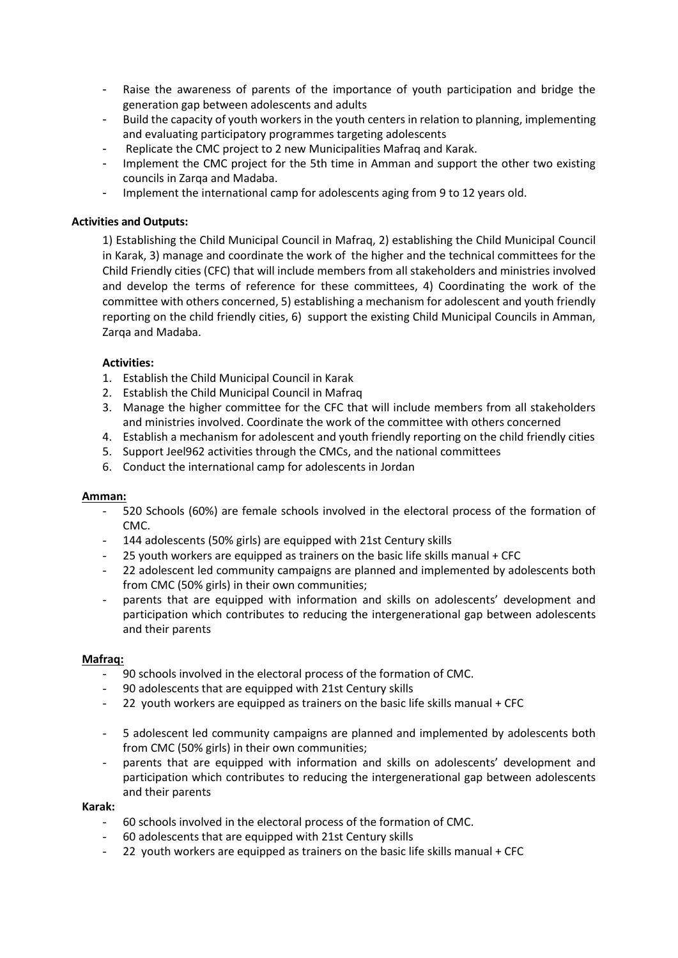- Raise the awareness of parents of the importance of youth participation and bridge the generation gap between adolescents and adults
- Build the capacity of youth workers in the youth centers in relation to planning, implementing and evaluating participatory programmes targeting adolescents
- Replicate the CMC project to 2 new Municipalities Mafraq and Karak.
- Implement the CMC project for the 5th time in Amman and support the other two existing councils in Zarqa and Madaba.
- Implement the international camp for adolescents aging from 9 to 12 years old.

## **Activities and Outputs:**

1) Establishing the Child Municipal Council in Mafraq, 2) establishing the Child Municipal Council in Karak, 3) manage and coordinate the work of the higher and the technical committees for the Child Friendly cities (CFC) that will include members from all stakeholders and ministries involved and develop the terms of reference for these committees, 4) Coordinating the work of the committee with others concerned, 5) establishing a mechanism for adolescent and youth friendly reporting on the child friendly cities, 6) support the existing Child Municipal Councils in Amman, Zarqa and Madaba.

# **Activities:**

- 1. Establish the Child Municipal Council in Karak
- 2. Establish the Child Municipal Council in Mafraq
- 3. Manage the higher committee for the CFC that will include members from all stakeholders and ministries involved. Coordinate the work of the committee with others concerned
- 4. Establish a mechanism for adolescent and youth friendly reporting on the child friendly cities
- 5. Support Jeel962 activities through the CMCs, and the national committees
- 6. Conduct the international camp for adolescents in Jordan

#### **Amman:**

- 520 Schools (60%) are female schools involved in the electoral process of the formation of CMC.
- 144 adolescents (50% girls) are equipped with 21st Century skills
- 25 youth workers are equipped as trainers on the basic life skills manual  $+$  CFC
- 22 adolescent led community campaigns are planned and implemented by adolescents both from CMC (50% girls) in their own communities;
- parents that are equipped with information and skills on adolescents' development and participation which contributes to reducing the intergenerational gap between adolescents and their parents

#### **Mafraq:**

- 90 schools involved in the electoral process of the formation of CMC.
- 90 adolescents that are equipped with 21st Century skills
- 22 youth workers are equipped as trainers on the basic life skills manual + CFC
- 5 adolescent led community campaigns are planned and implemented by adolescents both from CMC (50% girls) in their own communities;
- parents that are equipped with information and skills on adolescents' development and participation which contributes to reducing the intergenerational gap between adolescents and their parents

#### **Karak:**

- 60 schools involved in the electoral process of the formation of CMC.
- 60 adolescents that are equipped with 21st Century skills
- 22 youth workers are equipped as trainers on the basic life skills manual + CFC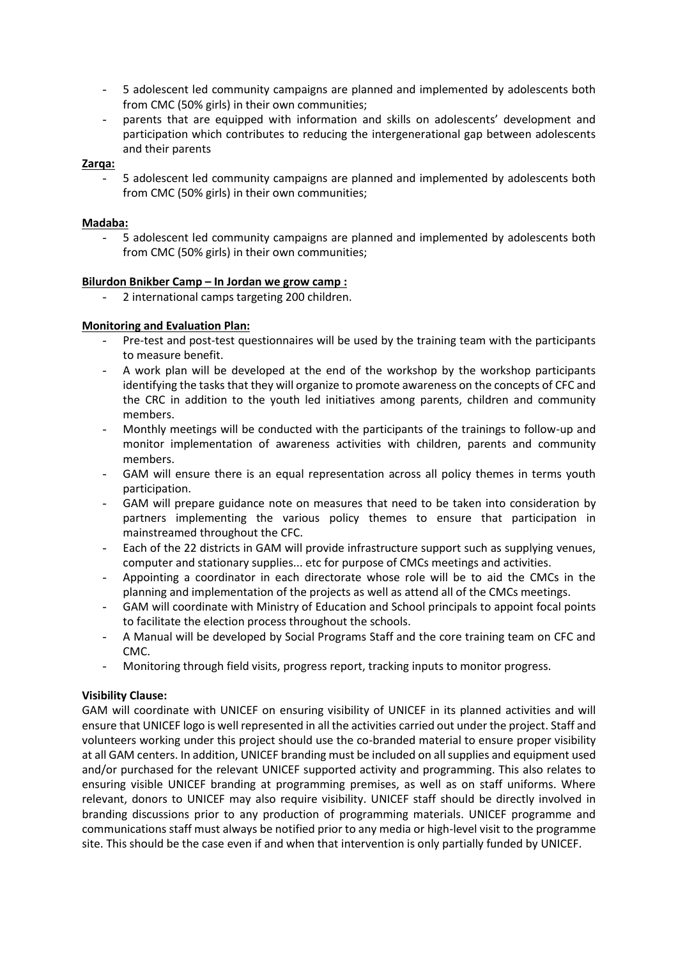- 5 adolescent led community campaigns are planned and implemented by adolescents both from CMC (50% girls) in their own communities;
- parents that are equipped with information and skills on adolescents' development and participation which contributes to reducing the intergenerational gap between adolescents and their parents

#### **Zarqa:**

5 adolescent led community campaigns are planned and implemented by adolescents both from CMC (50% girls) in their own communities;

## **Madaba:**

5 adolescent led community campaigns are planned and implemented by adolescents both from CMC (50% girls) in their own communities;

#### **Bilurdon Bnikber Camp – In Jordan we grow camp :**

2 international camps targeting 200 children.

# **Monitoring and Evaluation Plan:**

- Pre-test and post-test questionnaires will be used by the training team with the participants to measure benefit.
- A work plan will be developed at the end of the workshop by the workshop participants identifying the tasks that they will organize to promote awareness on the concepts of CFC and the CRC in addition to the youth led initiatives among parents, children and community members.
- Monthly meetings will be conducted with the participants of the trainings to follow-up and monitor implementation of awareness activities with children, parents and community members.
- GAM will ensure there is an equal representation across all policy themes in terms youth participation.
- GAM will prepare guidance note on measures that need to be taken into consideration by partners implementing the various policy themes to ensure that participation in mainstreamed throughout the CFC.
- Each of the 22 districts in GAM will provide infrastructure support such as supplying venues, computer and stationary supplies... etc for purpose of CMCs meetings and activities.
- Appointing a coordinator in each directorate whose role will be to aid the CMCs in the planning and implementation of the projects as well as attend all of the CMCs meetings.
- GAM will coordinate with Ministry of Education and School principals to appoint focal points to facilitate the election process throughout the schools.
- A Manual will be developed by Social Programs Staff and the core training team on CFC and CMC.
- Monitoring through field visits, progress report, tracking inputs to monitor progress.

#### **Visibility Clause:**

GAM will coordinate with UNICEF on ensuring visibility of UNICEF in its planned activities and will ensure that UNICEF logo is well represented in all the activities carried out under the project. Staff and volunteers working under this project should use the co-branded material to ensure proper visibility at all GAM centers. In addition, UNICEF branding must be included on all supplies and equipment used and/or purchased for the relevant UNICEF supported activity and programming. This also relates to ensuring visible UNICEF branding at programming premises, as well as on staff uniforms. Where relevant, donors to UNICEF may also require visibility. UNICEF staff should be directly involved in branding discussions prior to any production of programming materials. UNICEF programme and communications staff must always be notified prior to any media or high-level visit to the programme site. This should be the case even if and when that intervention is only partially funded by UNICEF.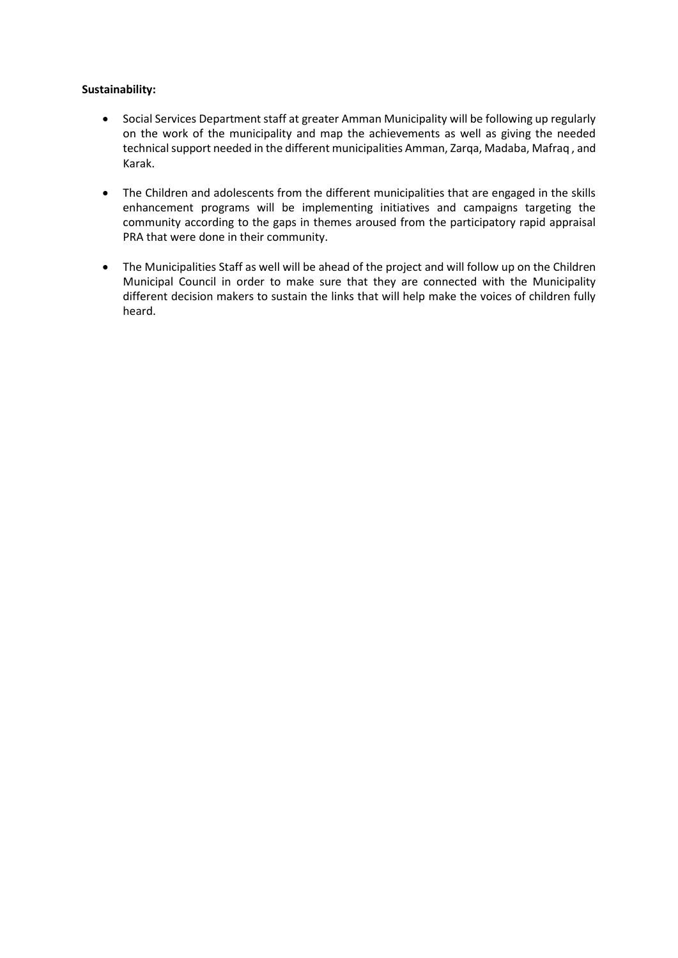## **Sustainability:**

- Social Services Department staff at greater Amman Municipality will be following up regularly on the work of the municipality and map the achievements as well as giving the needed technical support needed in the different municipalities Amman, Zarqa, Madaba, Mafraq , and Karak.
- The Children and adolescents from the different municipalities that are engaged in the skills enhancement programs will be implementing initiatives and campaigns targeting the community according to the gaps in themes aroused from the participatory rapid appraisal PRA that were done in their community.
- The Municipalities Staff as well will be ahead of the project and will follow up on the Children Municipal Council in order to make sure that they are connected with the Municipality different decision makers to sustain the links that will help make the voices of children fully heard.